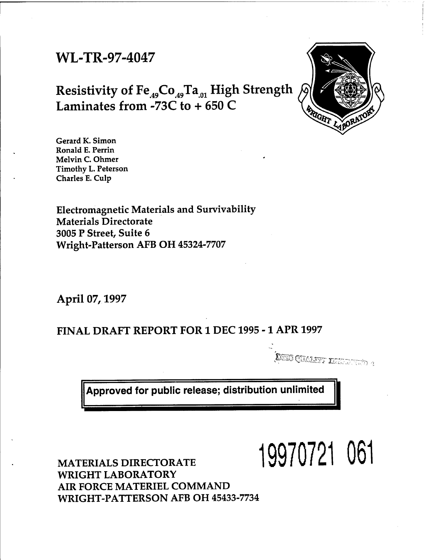# WL-TR-97-4047

# Resistivity of  $Fe_{49}Co_{49}Ta_{01}$  High Strength Laminates from -73C to + 650 C



Gerard K. Simon Ronald E. Perrin Melvin C. Ohmer Timothy L. Peterson Charles E. Culp

Electromagnetic Materials and Survivability Materials Directorate 3005 P Street, Suite 6 Wright-Patterson AFB OH 45324-7707

April 07,1997

# FINAL DRAFT REPORT FOR 1 DEC 1995 -1 APR 1997

 $\mathbb{C}$  CUARRIT TREED UNITY  $q$ 

**I**

**Approved for public release; distribution unlimited**

**19970721 061**

MATERIALS DIRECTORATE WRIGHT LABORATORY AIR FORCE MATERIEL COMMAND WRIGHT-PATTERSON AFB OH 45433-7734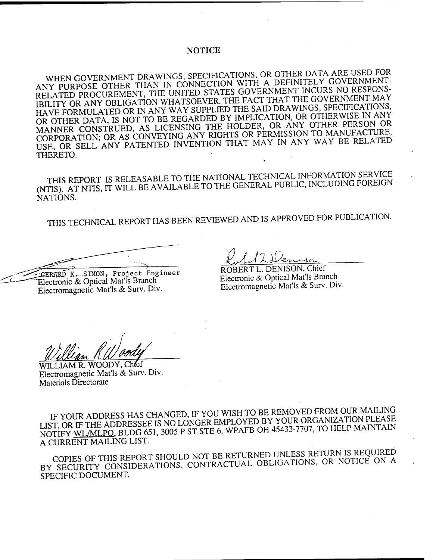## **NOTICE**

WHFN GOVERNMENT DRAWINGS, SPECIFICATIONS, OR OTHER DATA ARE USED FOR ANY PURPOSE OTHER THAN IN CONNECTION WITH A DEFINITELY GOVERNMENT-RELATED PROCUREMENT, THE UNITED STATES GOVERNMENT INCURS NO RESPONS-RELATED PROCUREMENT, THE UNITED STATES GOVERNMENT INCOVERNMENT MAY<br>IBILITY OR ANY OBLIGATION WHATSOEVER. THE FACT THAT THE GOVERNMENT MAY HAVE FORMULATED OR IN ANY WAY SUPPLIED THE SAID DRAWINGS, SPECIFICATIONS, OR OTHER DATA, IS NOT TO BE REGARDED BY IMPLICATION, OR OTHERWISE IN ANY MANNER CONSTRUED, AS LICENSING THE HOLDER, OR ANY OTHER PERSON OR CORPORATION; OR AS CONVEYING ANY RIGHTS OR PERMISSION TO MANUFACTURE, USE, OR SELL ANY PATENTED INVENTION THAT MAY IN ANY WAY BE RELATED THERETO.

THIS REPORT IS RELEASABLE TO THE NATIONAL TECHNICAL INFORMATION SERVICE (NTIS). AT NTIS, IT WILL BE AVAILABLE TO THE GENERAL PUBLIC, INCLUDING FOREIGN NATIONS.

THIS TECHNICAL REPORT HAS BEEN REVIEWED AND IS APPROVED FOR PUBLICATION.

GERARD K.. SIMON, Project Engineer Electronic & Optical Mat'ls Branch Electromagnetic Mat'ls & Surv. Div.

*Q.JJX&* ROBERT L. DENISON, Chief

Electronic & Optical Mat'ls Branch Electromagnetic Mat'ls & Surv. Div.

WILLIAM R. WOODY, Ch/ef Electromagnetic Mat'ls & Surv. Div. Materials Directorate

IF YOUR ADDRESS HAS CHANGED, IF YOU WISH TO BE REMOVED FROM OUR MAILING IF YOUR ADDRESS HAS CHANGED, IT TOO WISH TO BE NET OR GANIZATION PLEASE IF YOUR ADDRESS HAS CHANGED, IF YOU WISH TO BE REMOVED FROM OUR MAILING<br>LIST, OR IF THE ADDRESSEE IS NO LONGER EMPLOYED BY YOUR ORGANIZATION PLEASE<br>NOTIFY <u>WL/MLPO</u>, BLDG 651, 3005 P ST STE 6, WPAFB OH 45433-7707, TO HELP NOTIFY WL/MLPO, BLDG 651, 3005 P ST STE 6, WPAFB OH 45433-7707, TO HELP MAINTAIN A CURRENT MAILING LIST.

COPIES OF THIS REPORT SHOULD NOT BE RETURNED UNLESS RETURN IS REQUIRED BY SECURITY CONSIDERATIONS, CONTRACTUAL OBLIGATIONS, OR NOTICE ON A SPECIFIC DOCUMENT.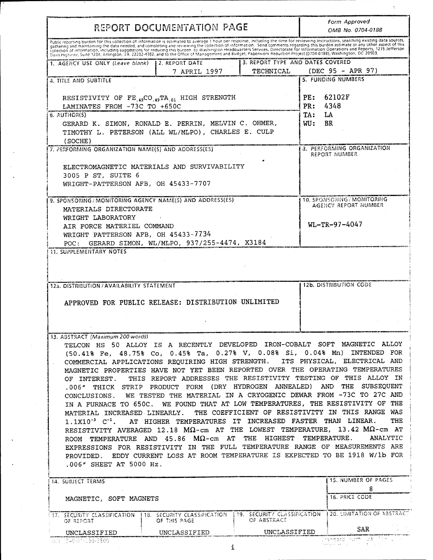| REPORT DOCUMENTATION PAGE                                                                                                                                                                                                      |                                            |                               | Form Approved<br>OMB No. 0704-0188                                                                                                                                                                                                                                                                                                                                                                                                                                                                                                                                                                                                                                                                                                                                                                                                                                                                                                                                                                                                                                                       |
|--------------------------------------------------------------------------------------------------------------------------------------------------------------------------------------------------------------------------------|--------------------------------------------|-------------------------------|------------------------------------------------------------------------------------------------------------------------------------------------------------------------------------------------------------------------------------------------------------------------------------------------------------------------------------------------------------------------------------------------------------------------------------------------------------------------------------------------------------------------------------------------------------------------------------------------------------------------------------------------------------------------------------------------------------------------------------------------------------------------------------------------------------------------------------------------------------------------------------------------------------------------------------------------------------------------------------------------------------------------------------------------------------------------------------------|
| Public reporting burden for this collection of information is estimated to average 1 hour per response, including the time for reviewing instructions, searching existing data sources, gathering and maintaining the data nee |                                            |                               |                                                                                                                                                                                                                                                                                                                                                                                                                                                                                                                                                                                                                                                                                                                                                                                                                                                                                                                                                                                                                                                                                          |
| 1. AGENCY USE ONLY (Leave blank)   2. REPORT DATE                                                                                                                                                                              | 7 APRIL 1997                               | TECHNICAL                     | 3. REPORT TYPE AND DATES COVERED<br>(DEC 95 - APR 97)                                                                                                                                                                                                                                                                                                                                                                                                                                                                                                                                                                                                                                                                                                                                                                                                                                                                                                                                                                                                                                    |
| 4. TITLE AND SUBTITLE                                                                                                                                                                                                          |                                            |                               | <b>5. FUNDING NUMBERS</b>                                                                                                                                                                                                                                                                                                                                                                                                                                                                                                                                                                                                                                                                                                                                                                                                                                                                                                                                                                                                                                                                |
| RESISTIVITY OF FE <sub>.49</sub> CO <sub>.49</sub> TA <sub>.01</sub> HIGH STRENGTH<br>LAMINATES FROM -73C TO +650C                                                                                                             |                                            |                               | PE: 62102F<br>PR: 4348                                                                                                                                                                                                                                                                                                                                                                                                                                                                                                                                                                                                                                                                                                                                                                                                                                                                                                                                                                                                                                                                   |
| 6. AUTHOR(5)<br>GERARD K. SIMON, RONALD E. PERRIN, MELVIN C. OHMER,<br>TIMOTHY L. PETERSON (ALL WL/MLPO), CHARLES E. CULP<br>(SOCHE)                                                                                           |                                            | TA:<br>LA<br><b>BR</b><br>WU: |                                                                                                                                                                                                                                                                                                                                                                                                                                                                                                                                                                                                                                                                                                                                                                                                                                                                                                                                                                                                                                                                                          |
| 7. PERFORMING ORGANIZATION NAME(S) AND ADDRESS(ES)                                                                                                                                                                             |                                            |                               | 3. PERFORMING ORGANIZATION<br>REPORT NUMBER                                                                                                                                                                                                                                                                                                                                                                                                                                                                                                                                                                                                                                                                                                                                                                                                                                                                                                                                                                                                                                              |
| ELECTROMAGNETIC MATERIALS AND SURVIVABILITY<br>3005 P ST, SUITE 6<br>WRIGHT-PATTERSON AFB, OH 45433-7707                                                                                                                       |                                            |                               |                                                                                                                                                                                                                                                                                                                                                                                                                                                                                                                                                                                                                                                                                                                                                                                                                                                                                                                                                                                                                                                                                          |
| 9. SPONSORING / MONITORING AGENCY NAME(S) AND ADDRESS(ES)<br>MATERIALS DIRECTORATE                                                                                                                                             |                                            |                               | 10. SPONSORING / MONITORING<br>AGENCY REPORT NUMBER                                                                                                                                                                                                                                                                                                                                                                                                                                                                                                                                                                                                                                                                                                                                                                                                                                                                                                                                                                                                                                      |
| WRIGHT LABORATORY<br>AIR FORCE MATERIEL COMMAND<br>WRIGHT PATTERSON AFB, OH 45433-7734<br>POC:                                                                                                                                 | GERARD SIMON, WL/MLPO, 937/255-4474, X3184 |                               | $WL - TR - 97 - 4047$                                                                                                                                                                                                                                                                                                                                                                                                                                                                                                                                                                                                                                                                                                                                                                                                                                                                                                                                                                                                                                                                    |
| <b>11. SUPPLEMENTARY NOTES</b>                                                                                                                                                                                                 |                                            |                               |                                                                                                                                                                                                                                                                                                                                                                                                                                                                                                                                                                                                                                                                                                                                                                                                                                                                                                                                                                                                                                                                                          |
| 12a. DISTRIBUTION / AVAILABILITY STATEMENT                                                                                                                                                                                     |                                            |                               | <b>12b. DISTRIBUTION CODE</b>                                                                                                                                                                                                                                                                                                                                                                                                                                                                                                                                                                                                                                                                                                                                                                                                                                                                                                                                                                                                                                                            |
| APPROVED FOR PUBLIC RELEASE: DISTRIBUTION UNLIMITED                                                                                                                                                                            |                                            |                               |                                                                                                                                                                                                                                                                                                                                                                                                                                                                                                                                                                                                                                                                                                                                                                                                                                                                                                                                                                                                                                                                                          |
|                                                                                                                                                                                                                                |                                            |                               |                                                                                                                                                                                                                                                                                                                                                                                                                                                                                                                                                                                                                                                                                                                                                                                                                                                                                                                                                                                                                                                                                          |
| 13. ABSTRACT (Maximum 200 words)<br>.006" THICK STRIP PRODUCT FORM (DRY HYDROGEN ANNEALED) AND<br>ROOM TEMPERATURE AND 45.86 $\mathbf{M}\Omega$ -cm at the HIGHEST TEMPERATURE.<br>.006" SHEET AT 5000 Hz.                     |                                            |                               |                                                                                                                                                                                                                                                                                                                                                                                                                                                                                                                                                                                                                                                                                                                                                                                                                                                                                                                                                                                                                                                                                          |
| 14. SUBJECT TERMS                                                                                                                                                                                                              |                                            |                               |                                                                                                                                                                                                                                                                                                                                                                                                                                                                                                                                                                                                                                                                                                                                                                                                                                                                                                                                                                                                                                                                                          |
| MAGNETIC, SOFT MAGNETS                                                                                                                                                                                                         |                                            |                               | 8<br>16. PRICE CODE                                                                                                                                                                                                                                                                                                                                                                                                                                                                                                                                                                                                                                                                                                                                                                                                                                                                                                                                                                                                                                                                      |
| 117. SECURITY CLASSIFICATION   18. SECURITY CLASSIFICATION   19. SECURITY CLASSIFICATION   20. LIMITATION OF ABSTRACT<br>OF REPORT                                                                                             | OF THIS PAGE                               | OF ABSTRACT                   | TELCON HS 50 ALLOY IS A RECENTLY DEVELOPED IRON-COBALT SOFT MAGNETIC ALLOY<br>(50.41% Fe, 48.75% Co, 0.45% Ta, 0.27% V, 0.08% Si, 0.04% Mn) INTENDED FOR<br>COMMERCIAL APPLICATIONS REQUIRING HIGH STRENGTH. ITS PHYSICAL, ELECTRICAL AND<br>MAGNETIC PROPERTIES HAVE NOT YET BEEN REPORTED OVER THE OPERATING TEMPERATURES<br>OF INTEREST. THIS REPORT ADDRESSES THE RESISTIVITY TESTING OF THIS ALLOY IN<br>THE SUBSEQUENT<br>CONCLUSIONS. WE TESTED THE MATERIAL IN A CRYOGENIC DEWAR FROM -73C TO 27C AND<br>IN A FURNACE TO 650C. WE FOUND THAT AT LOW TEMPERATURES, THE RESISTIVITY OF THE<br>MATERIAL INCREASED LINEARLY. THE COEFFICIENT OF RESISTIVITY IN THIS RANGE WAS<br>1.1X10 <sup>-3</sup> C <sup>-1</sup> . AT HIGHER TEMPERATURES IT INCREASED FASTER THAN LINEAR.<br>RESISTIVITY AVERAGED 12.18 $M\Omega$ -cm at the LOWEST TEMPERATURE, 13.42 $M\Omega$ -cm at<br>ANALYTIC<br>EXPRESSIONS FOR RESISTIVITY IN THE FULL TEMPERATURE RANGE OF MEASUREMENTS ARE<br>PROVIDED. EDDY CURRENT LOSS AT ROOM TEMPERATURE IS EXPECTED TO BE 1918 W/1b FOR<br>15. NUMBER OF PAGES |

 $\mathcal{L}^{(1)}$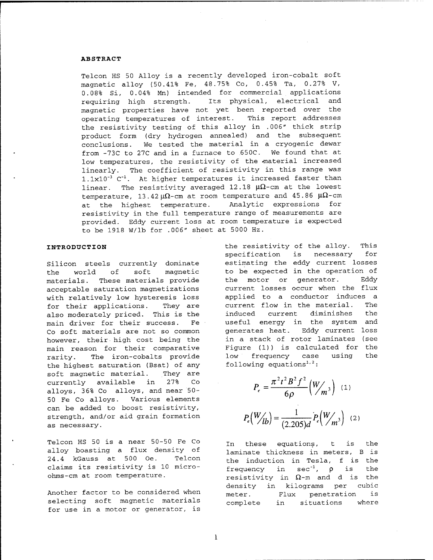#### **ABSTRACT**

Telcon HS 50 Alloy is a recently developed iron-cobalt soft magnetic alloy (50.41% Fe, 48.75% Co, 0.45% Ta, 0.27% V, 0.08% Si, 0.04% Mn) intended for commercial applications requiring high strength. Its physical, electrical and magnetic properties have not yet been reported over the operating temperatures of interest. This report addresses the resistivity testing of this alloy in .006" thick strip product form (dry hydrogen annealed) and the subsequent conclusions. We tested the material in a cryogenic dewar from -73C to 27C and in a furnace to 650C. We found that at low temperatures, the resistivity of the material increased linearly. The coefficient of resistivity in this range was l.lxlO"<sup>3</sup> C"1. At higher temperatures it increased faster than linear. The resistivity averaged 12.18  $\mu\Omega$ -cm at the lowest temperature, 13.42  $\mu\Omega$ -cm at room temperature and 45.86  $\mu\Omega$ -cm at the highest temperature. Analytic expressions for resistivity in the full temperature range of measurements are provided. Eddy current loss at room temperature is expected to be 1918 W/lb for .006" sheet at 5000 Hz.

#### **INTRODUCTION**

Silicon steels currently dominate the world of soft magnetic materials. These materials provide acceptable saturation magnetizations with relatively low hysteresis loss for their applications. They are also moderately priced. This is the main driver for their success. Fe Co soft materials are not so common however, their high cost being the main reason for their comparative rarity. The iron-cobalts provide the highest saturation (Bsat) of any soft magnetic material. They are currently available in 27% Co alloys, 36% Co alloys, and near 50- 50 Fe Co alloys. Various elements can be added to boost resistivity, strength, and/or aid grain formation as necessary.

Telcon HS 50 is a near 50-50 Fe Co alloy boasting a flux density of 24.4 kGauss at 500 Oe. Telcon claims its resistivity is 10 microohms-cm at room temperature.

Another factor to be considered when selecting soft magnetic materials for use in a motor or generator, is

the resistivity of the alloy. This specification is necessary for estimating the eddy current losses to be expected in the operation of the motor or generator. Eddy current losses occur when the flux applied to a conductor induces a current flow in the material. The induced current diminishes the useful energy in the system and generates heat. Eddy current loss in a stack of rotor laminates (see Figure (1)) is calculated for the low frequency case using the following equations<sup>1,2</sup>:

$$
P_e = \frac{\pi^2 t^2 B^2 f^2}{6\rho} \left( \frac{W}{m^3} \right) (1)
$$

$$
P_e \left( \frac{W}{lb} \right) = \frac{1}{(2.205)d} P_e \left( \frac{W}{m^3} \right) (2)
$$

In these equations, t is the laminate thickness in meters, B is the induction in Tesla, <sup>f</sup> is the frequency in sec<sup>-1</sup>,  $\rho$  is the resistivity in  $\Omega$ -m and d is the density in kilograms per cubic meter. Flux penetration is complete in situations where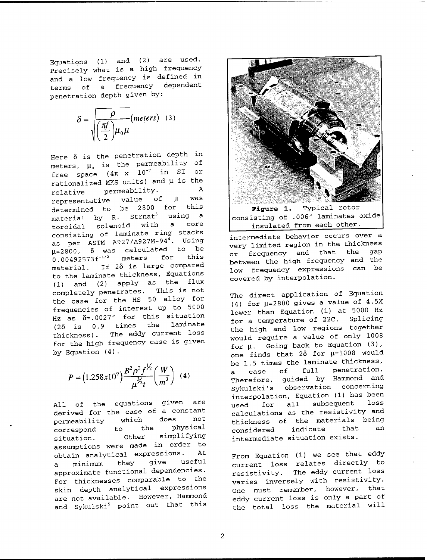Equations (1) and (2) are used. Precisely what is a high frequency and a low frequency is defined in terms of a frequency dependent penetration depth given by:

$$
\delta = \sqrt{\frac{\rho}{\left(\frac{\pi f}{2}\right)\mu_0 \mu}} \text{(meters)} \quad (3)
$$

Here  $\delta$  is the penetration depth in meters,  $\mu_{o}$  is the permeability of free space  $(4\pi \times 10^{-7} \text{ in } \text{SI} \text{ or }$ rationalized MKS units) and *\i* is the relative permeability. A<br>relative value of **H** was representative value of  $\mu$  was determined to be 2800 for material by R. Strnat<sup>3</sup> using a toroidal solenoid with a core consisting of laminate ring stacks as per ASTM A927/A927M-94<sup>4</sup>. Using  $\mu$ =2800,  $\delta$  was calculated to be  $0.00492573f^{-1/2}$  meters for material. If  $2\delta$  is large compared to the laminate thickness, Equations (1) and (2) apply as the flux completely penetrates. This is not the case for the HS 50 alloy for frequencies of interest up to 5000 Hz as  $\delta$ =.0027" for this situation (28 is 0.9 times the laminate thickness). The eddy current loss for the high frequency case is given by Equation (4).

$$
P = (1.258x10^9) \frac{B^2 \rho^2 f^{1/2}}{\mu^{3/2} t} \left(\frac{W}{m^3}\right) (4)
$$

All of the equations given are derived for the case of a constant permeability which does not<br>correspond to the physical correspond to the situation. Other simplifying assumptions were made in order to obtain analytical expressions. At a minimum they give useful approximate functional dependencies. For thicknesses comparable to the skin depth analytical expressions are not available. However, Hammond and Sykulski<sup>5</sup> point out that this



**Figure 1.** Typical rotor consisting of .006" laminates oxide insulated from each other.

intermediate behavior occurs over a very limited region in the thickness or frequency and that the gap between the high frequency and the low frequency expressions can be covered by interpolation.

The direct application of Equation (4) for  $\mu$ =2800 gives a value of 4.5X lower than Equation (1) at 5000 Hz for a temperature of 22C. Splicing the high and low regions together would require a value of only 1008 for *\i.* Going back to Equation (3), one finds that  $2\delta$  for  $\mu$ =1008 would be 1.5 times the laminate thickness, a case of full penetration. Therefore, guided by Hammond and Sykulski's observation concerning interpolation. Equation (1) has been used for all subsequent loss calculations as the resistivity and thickness of the materials being considered indicate that an intermediate situation exists.

From Equation (1) we see that eddy current loss relates directly to resistivity. The eddy current loss varies inversely with resistivity. One must remember, however, that eddy current loss is only a part of the total loss the material will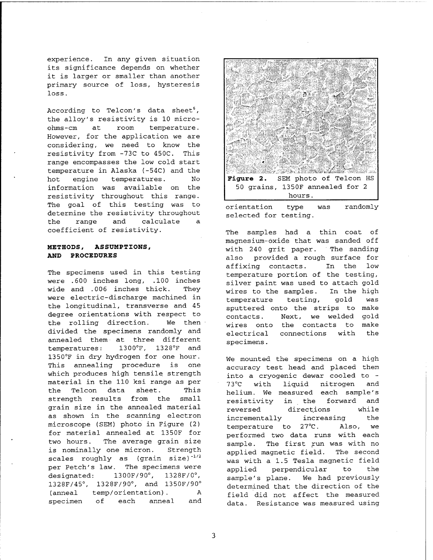experience. In any given situation its significance depends on whether it is larger or smaller than another primary source of loss, hysteresis loss .

According to Telcon's data sheet<sup>6</sup>, the alloy's resistivity is 10 microohms-cm at room temperature. However, for the application we are considering, we need to know the resistivity from -73C to 450C. This range encompasses the low cold start temperature in Alaska (-54C) and the hot engine temperatures. No information was available on the resistivity throughout this range. The goal of this testing was to determine the resistivity throughout the range and calculate a coefficient of resistivity.

### **METHODS, ASSUMPTIONS, AND PROCEDURES**

The specimens used in this testing were .600 inches long, .100 inches wide and .006 inches thick. They were electric-discharge machined in the longitudinal, transverse and 45 degree orientations with respect to the rolling direction. We then divided the specimens randomly and annealed them at three different temperatures: 1300°F, 1328°F and 1350°F in dry hydrogen for one hour. This annealing procedure is one which produces high tensile strength material in the 110 ksi range as per the Telcon data sheet. This strength results from the small grain size in the annealed material as shown in the scanning electron microscope (SEM) photo in Figure (2) for material annealed at 1350F for two hours. The average grain size is nominally one micron. Strength scales roughly as (grain size) $-1/2$ per Petch's law. The specimens were  $designed: 1300F/90°,$  $, 1328F/0^{\circ},$ 1328F/45°, 1328F/90°, and 1350F/90° (anneal temp/orientation). A specimen of each anneal and



orientation type was selected for testing. randomly

The samples had a thin coat of magnesium-oxide that was sanded off with 240 grit paper. The sanding also provided a rough surface for affixing contacts. In the low temperature portion of the testing, silver paint was used to attach gold wires to the samples. In the high temperature testing, gold was sputtered onto the strips to make contacts. Next, we welded gold wires onto the contacts to make electrical connections with the specimens.

We mounted the specimens on a high accuracy test head and placed them into a cryogenic dewar cooled to - 73°C with liquid nitrogen and helium. We measured each sample's resistivity in the forward and reversed directions while incrementally increasing the temperature to 27°C. Also, we performed two data runs with each sample. The first run was with no applied magnetic field. The second was with a 1.5 Tesla magnetic field applied perpendicular to the sample's plane. We had previously determined that the direction of the field did not affect the measured data. Resistance was measured using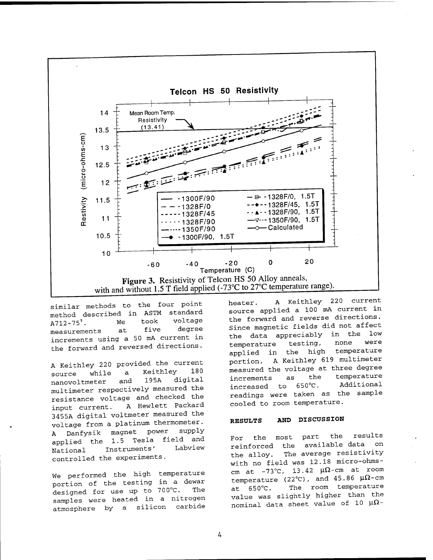

similar methods to the four point method described in ASTM standard A712-75<sup>7</sup>. We took voltage measurements at five degree increments using a 50 mA current in the forward and reversed directions.

A Keithley 220 provided the current source while a Keithley 180 nanovoltmeter and 195A digital multimeter respectively measured the resistance voltage and checked the input current. A Hewlett Packard 3455A digital voltmeter measured the voltage from a platinum thermometer. A Danfysik magnet power supply applied the 1.5 Tesla field and National Instruments' Labview controlled the experiments.

We performed the high temperature portion of the testing in a dewar designed for use up to 700°C. The samples were heated in a nitrogen atmosphere by a silicon carbide heater. A Keithley 220 current source applied a 100 mA current in the forward and reverse directions. Since magnetic fields did not affect the data appreciably in the low temperature testing, none were applied in the high temperature portion. A Keithley 619 multimeter measured the voltage at three degree increments as the temperature increased to 650°C. Additional readings were taken as the sample cooled to room temperature.

#### **RESULTS AND DISCUSSION**

For the most part the results reinforced the available data on the alloy. The average resistivity with no field was 12.18 micro-ohmscm at  $-73^{\circ}$ C, 13.42  $\mu\Omega$ -cm at room temperature (22°C), and  $45.86 \mu\Omega$ -cm at 650°C. The room temperature value was slightly higher than the nominal data sheet value of 10  $\mu\Omega$ -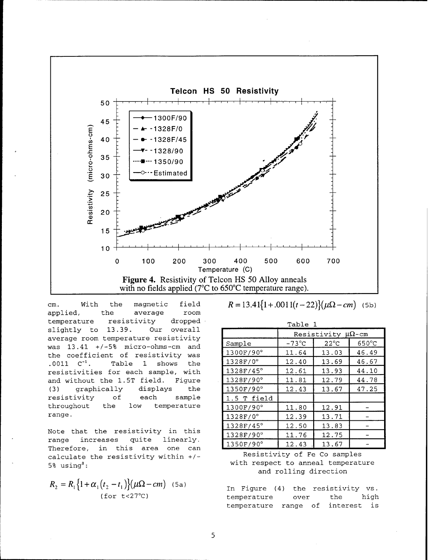

cm. With the magnetic field applied, the average room temperature resistivity dropped slightly to 13.39. Our overall average room temperature resistivity was 13.41 +/-5% micro-ohms-cm and the coefficient of resistivity was .0011 C"1. Table <sup>1</sup> shows the resistivities for each sample, with and without the 1. 5T field. Figure (3) graphically displays the resistivity of each sample throughout the low temperature range.

Note that the resistivity in this range increases quite linearly. Therefore, in this area one can calculate the resistivity within +/-  $5\%$  using<sup>8</sup>:

$$
R_2 = R_1 \left\{ 1 + \alpha_1 \left( t_2 - t_1 \right) \right\} \left( \mu \Omega - cm \right) \quad (5a)
$$
\n(for t < 27°C)

|  | $12.711 + 00111 = 22$ / $\mu$ a $ \mu$ $\mu$ |  |
|--|----------------------------------------------|--|
|  |                                              |  |

| Table 1           |                             |                |                 |  |  |
|-------------------|-----------------------------|----------------|-----------------|--|--|
|                   | Resistivity $\mu\Omega$ -cm |                |                 |  |  |
| Sample            | $-73^{\circ}$ C             | $22^{\circ}$ C | $650^{\circ}$ C |  |  |
| 1300F/90°         | 11.64                       | 13.03          | 46.49           |  |  |
| $1328F/0^{\circ}$ | 12.40                       | 13.69          | 46.67           |  |  |
| 1328F/45°         | 12.61                       | 13.93          | 44.10           |  |  |
| 1328F/90°         | 11.81                       | 12.79          | 44.78           |  |  |
| 1350F/90°         | 12.43                       | 13.67          | 47.25           |  |  |
| 1.5 T field       |                             |                |                 |  |  |
| 1300F/90°         | 11.80                       | 12.91          |                 |  |  |
| $1328F/0^{\circ}$ | 12.39                       | 13.71          |                 |  |  |
| 1328F/45°         | 12.50                       | 13.83          |                 |  |  |
| 1328F/90°         | 11.76                       | 12.75          |                 |  |  |
| 1350F/90°         | 12.43                       | 13.67          |                 |  |  |

### Resistivity of Fe Co samples with respect to anneal temperature and rolling direction

In Figure (4) the resistivity vs. temperature over the high temperature range of interest is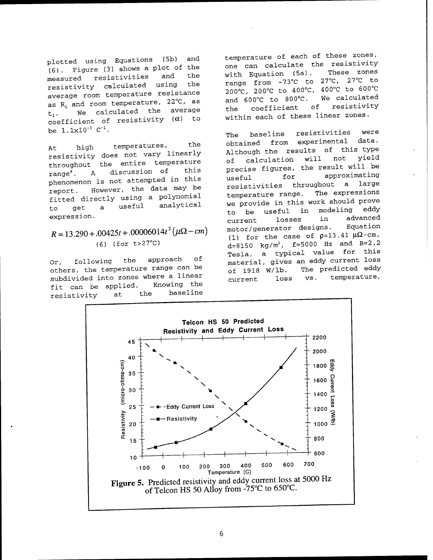plotted using Equations (5b) and  $(6)$ . Figure  $(3)$  shows a plot of the measured resistivities and resistivity calculated using the average room temperature resistance as  $R_1$  and room temperature, 22 $^{\circ}$ C, as *t±.* We calculated the average coefficient of resistivity  $(\alpha)$  to be  $1.1x10^{-3}$   $C^{-1}$ .

At high temperatures, the resistivity does not vary linearly throughout the entire temperature range<sup>9</sup>. A discussion of phenomenon is not attempted in this report. However, the data may be fitted directly using a polynomial to get a useful analytical expression.

 $R = 13.290 + 0.00425t + 0.0006014t^2 (\mu\Omega - cm)$ (6) (for t>27°C)

Or, following the approach of others, the temperature range can be subdivided into zones where a linear<br>fit can be applied. Knowing the fit can be applied. resistivity at the baseline

temperature of each of these zones, one can calculate the resistivity<br>with Equation (5a). These zones with Equation (5a). range from -73°C to 27°C, 27°C to 200°C, 200°C to 400°C, 400°C to 600°C and 600°C to 800°C. We calculated the coefficient of resistivity within each of these linear zones.

The baseline resistivities were obtained from experimental data. Although the results of this type<br>of calculation will not yield of calculation will not precise figures, the result will be Inseful for approximating resistivities throughout a large<br>temperature range. The expressions temperature range. we provide in this work should prove to be useful in modeling eddy current losses in advanced motor/generator designs. Equation (1) for the case of  $p=13.41 \mu\Omega$ -cm, d=8150 kg/m<sup>3</sup>, f=5000 Hz and B=2.2 Tesla, a typical value for this material, gives an eddy current loss of 1918 W/lb. The predicted eddy current loss vs. temperature,